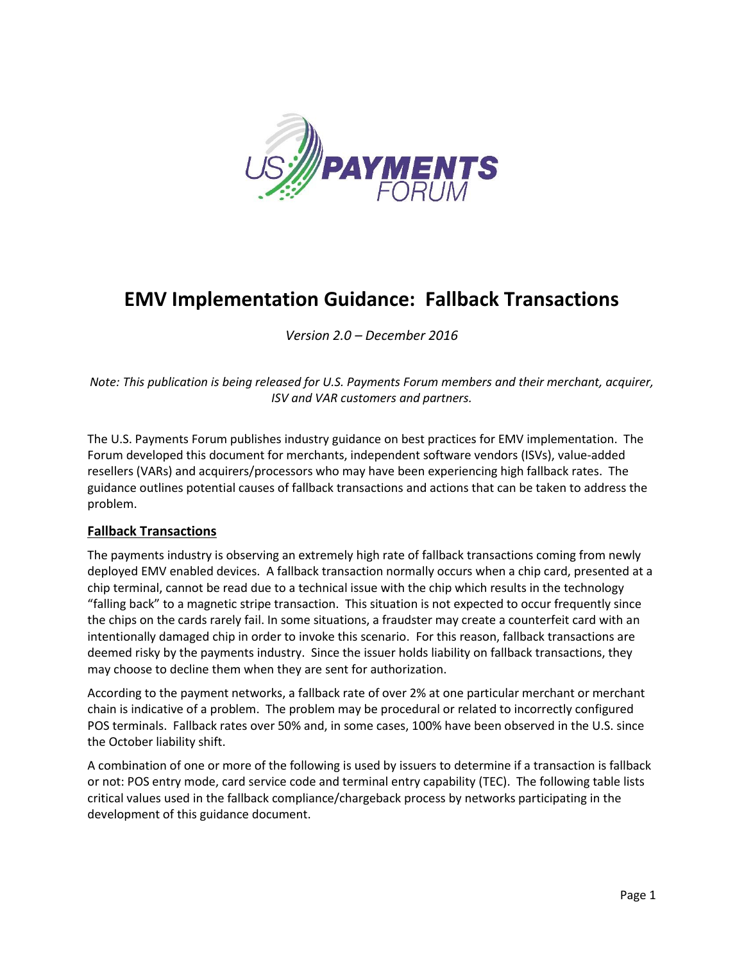

# **EMV Implementation Guidance: Fallback Transactions**

*Version 2.0 – December 2016*

*Note: This publication is being released for U.S. Payments Forum members and their merchant, acquirer, ISV and VAR customers and partners.*

The U.S. Payments Forum publishes industry guidance on best practices for EMV implementation. The Forum developed this document for merchants, independent software vendors (ISVs), value-added resellers (VARs) and acquirers/processors who may have been experiencing high fallback rates. The guidance outlines potential causes of fallback transactions and actions that can be taken to address the problem.

## **Fallback Transactions**

The payments industry is observing an extremely high rate of fallback transactions coming from newly deployed EMV enabled devices. A fallback transaction normally occurs when a chip card, presented at a chip terminal, cannot be read due to a technical issue with the chip which results in the technology "falling back" to a magnetic stripe transaction. This situation is not expected to occur frequently since the chips on the cards rarely fail. In some situations, a fraudster may create a counterfeit card with an intentionally damaged chip in order to invoke this scenario. For this reason, fallback transactions are deemed risky by the payments industry. Since the issuer holds liability on fallback transactions, they may choose to decline them when they are sent for authorization.

According to the payment networks, a fallback rate of over 2% at one particular merchant or merchant chain is indicative of a problem. The problem may be procedural or related to incorrectly configured POS terminals. Fallback rates over 50% and, in some cases, 100% have been observed in the U.S. since the October liability shift.

A combination of one or more of the following is used by issuers to determine if a transaction is fallback or not: POS entry mode, card service code and terminal entry capability (TEC). The following table lists critical values used in the fallback compliance/chargeback process by networks participating in the development of this guidance document.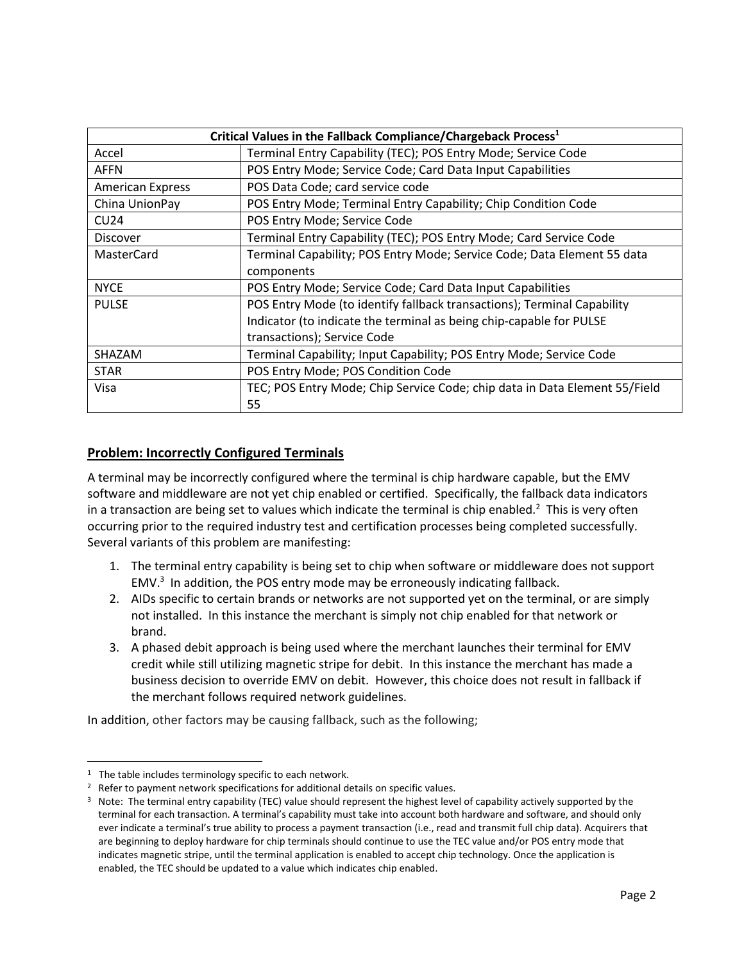| Critical Values in the Fallback Compliance/Chargeback Process <sup>1</sup> |                                                                            |
|----------------------------------------------------------------------------|----------------------------------------------------------------------------|
| Accel                                                                      | Terminal Entry Capability (TEC); POS Entry Mode; Service Code              |
| <b>AFFN</b>                                                                | POS Entry Mode; Service Code; Card Data Input Capabilities                 |
| <b>American Express</b>                                                    | POS Data Code; card service code                                           |
| China UnionPay                                                             | POS Entry Mode; Terminal Entry Capability; Chip Condition Code             |
| CU24                                                                       | POS Entry Mode; Service Code                                               |
| <b>Discover</b>                                                            | Terminal Entry Capability (TEC); POS Entry Mode; Card Service Code         |
| <b>MasterCard</b>                                                          | Terminal Capability; POS Entry Mode; Service Code; Data Element 55 data    |
|                                                                            | components                                                                 |
| <b>NYCE</b>                                                                | POS Entry Mode; Service Code; Card Data Input Capabilities                 |
| <b>PULSE</b>                                                               | POS Entry Mode (to identify fallback transactions); Terminal Capability    |
|                                                                            | Indicator (to indicate the terminal as being chip-capable for PULSE        |
|                                                                            | transactions); Service Code                                                |
| SHAZAM                                                                     | Terminal Capability; Input Capability; POS Entry Mode; Service Code        |
| <b>STAR</b>                                                                | POS Entry Mode; POS Condition Code                                         |
| Visa                                                                       | TEC; POS Entry Mode; Chip Service Code; chip data in Data Element 55/Field |
|                                                                            | 55                                                                         |

# **Problem: Incorrectly Configured Terminals**

A terminal may be incorrectly configured where the terminal is chip hardware capable, but the EMV software and middleware are not yet chip enabled or certified. Specifically, the fallback data indicators in a transaction are being set to values which indicate the terminal is chip enabled.<sup>2</sup> This is very often occurring prior to the required industry test and certification processes being completed successfully. Several variants of this problem are manifesting:

- 1. The terminal entry capability is being set to chip when software or middleware does not support EMV. $3$  In addition, the POS entry mode may be erroneously indicating fallback.
- 2. AIDs specific to certain brands or networks are not supported yet on the terminal, or are simply not installed. In this instance the merchant is simply not chip enabled for that network or brand.
- 3. A phased debit approach is being used where the merchant launches their terminal for EMV credit while still utilizing magnetic stripe for debit. In this instance the merchant has made a business decision to override EMV on debit. However, this choice does not result in fallback if the merchant follows required network guidelines.

In addition, other factors may be causing fallback, such as the following;

 $1$  The table includes terminology specific to each network.

<sup>&</sup>lt;sup>2</sup> Refer to payment network specifications for additional details on specific values.

<sup>&</sup>lt;sup>3</sup> Note: The terminal entry capability (TEC) value should represent the highest level of capability actively supported by the terminal for each transaction. A terminal's capability must take into account both hardware and software, and should only ever indicate a terminal's true ability to process a payment transaction (i.e., read and transmit full chip data). Acquirers that are beginning to deploy hardware for chip terminals should continue to use the TEC value and/or POS entry mode that indicates magnetic stripe, until the terminal application is enabled to accept chip technology. Once the application is enabled, the TEC should be updated to a value which indicates chip enabled.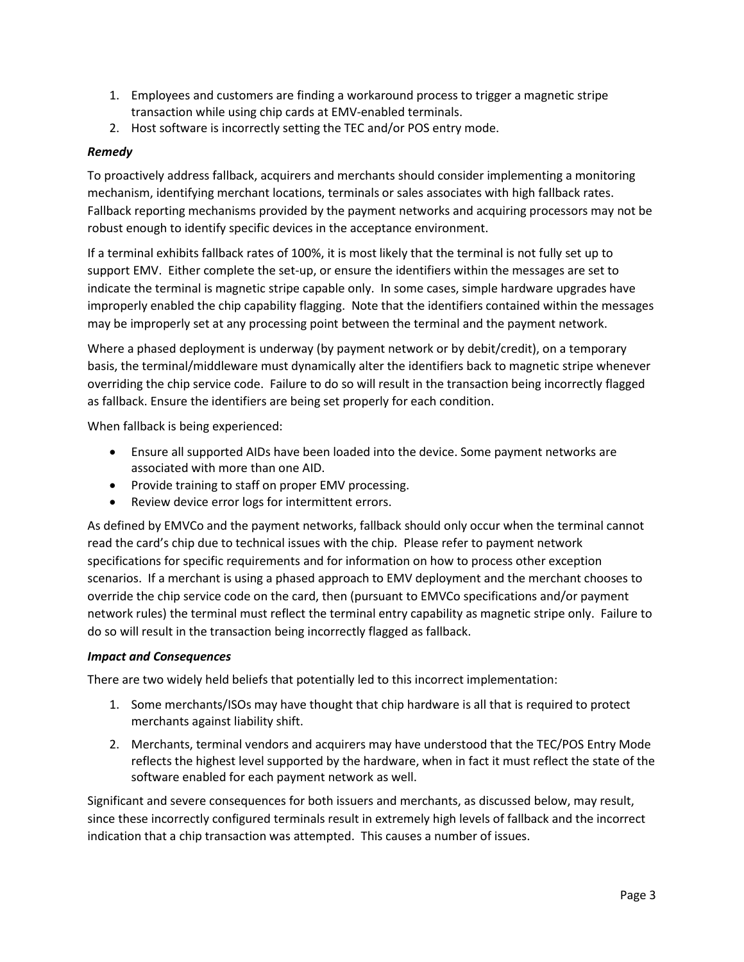- 1. Employees and customers are finding a workaround process to trigger a magnetic stripe transaction while using chip cards at EMV-enabled terminals.
- 2. Host software is incorrectly setting the TEC and/or POS entry mode.

### *Remedy*

To proactively address fallback, acquirers and merchants should consider implementing a monitoring mechanism, identifying merchant locations, terminals or sales associates with high fallback rates. Fallback reporting mechanisms provided by the payment networks and acquiring processors may not be robust enough to identify specific devices in the acceptance environment.

If a terminal exhibits fallback rates of 100%, it is most likely that the terminal is not fully set up to support EMV. Either complete the set-up, or ensure the identifiers within the messages are set to indicate the terminal is magnetic stripe capable only. In some cases, simple hardware upgrades have improperly enabled the chip capability flagging. Note that the identifiers contained within the messages may be improperly set at any processing point between the terminal and the payment network.

Where a phased deployment is underway (by payment network or by debit/credit), on a temporary basis, the terminal/middleware must dynamically alter the identifiers back to magnetic stripe whenever overriding the chip service code. Failure to do so will result in the transaction being incorrectly flagged as fallback. Ensure the identifiers are being set properly for each condition.

When fallback is being experienced:

- Ensure all supported AIDs have been loaded into the device. Some payment networks are associated with more than one AID.
- Provide training to staff on proper EMV processing.
- Review device error logs for intermittent errors.

As defined by EMVCo and the payment networks, fallback should only occur when the terminal cannot read the card's chip due to technical issues with the chip. Please refer to payment network specifications for specific requirements and for information on how to process other exception scenarios. If a merchant is using a phased approach to EMV deployment and the merchant chooses to override the chip service code on the card, then (pursuant to EMVCo specifications and/or payment network rules) the terminal must reflect the terminal entry capability as magnetic stripe only. Failure to do so will result in the transaction being incorrectly flagged as fallback.

#### *Impact and Consequences*

There are two widely held beliefs that potentially led to this incorrect implementation:

- 1. Some merchants/ISOs may have thought that chip hardware is all that is required to protect merchants against liability shift.
- 2. Merchants, terminal vendors and acquirers may have understood that the TEC/POS Entry Mode reflects the highest level supported by the hardware, when in fact it must reflect the state of the software enabled for each payment network as well.

Significant and severe consequences for both issuers and merchants, as discussed below, may result, since these incorrectly configured terminals result in extremely high levels of fallback and the incorrect indication that a chip transaction was attempted. This causes a number of issues.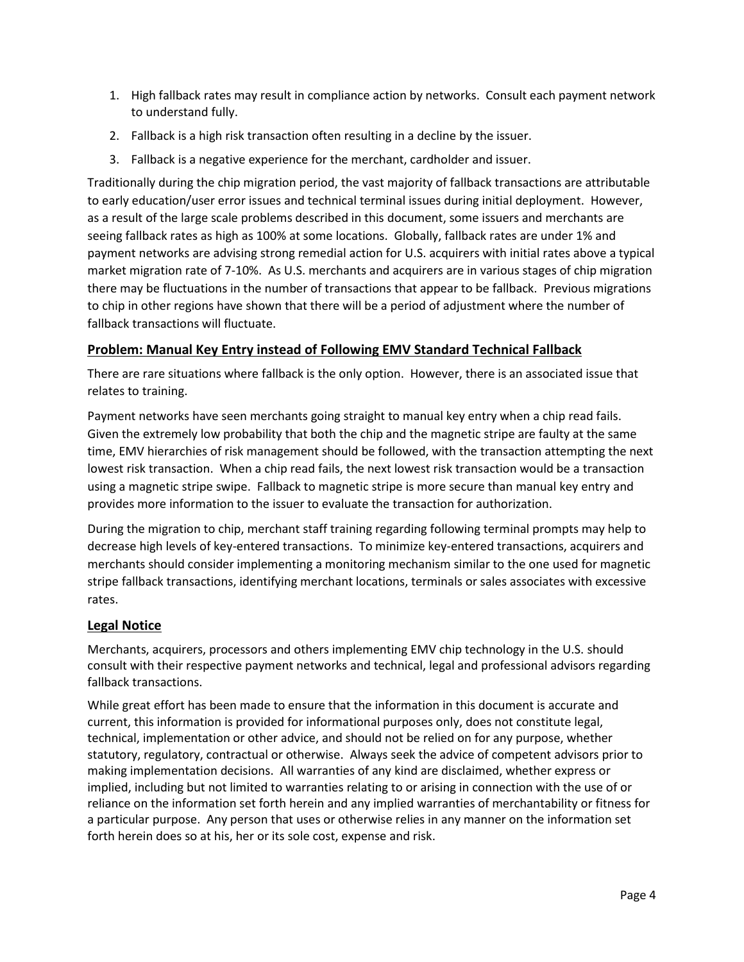- 1. High fallback rates may result in compliance action by networks. Consult each payment network to understand fully.
- 2. Fallback is a high risk transaction often resulting in a decline by the issuer.
- 3. Fallback is a negative experience for the merchant, cardholder and issuer.

Traditionally during the chip migration period, the vast majority of fallback transactions are attributable to early education/user error issues and technical terminal issues during initial deployment. However, as a result of the large scale problems described in this document, some issuers and merchants are seeing fallback rates as high as 100% at some locations. Globally, fallback rates are under 1% and payment networks are advising strong remedial action for U.S. acquirers with initial rates above a typical market migration rate of 7-10%. As U.S. merchants and acquirers are in various stages of chip migration there may be fluctuations in the number of transactions that appear to be fallback. Previous migrations to chip in other regions have shown that there will be a period of adjustment where the number of fallback transactions will fluctuate.

# **Problem: Manual Key Entry instead of Following EMV Standard Technical Fallback**

There are rare situations where fallback is the only option. However, there is an associated issue that relates to training.

Payment networks have seen merchants going straight to manual key entry when a chip read fails. Given the extremely low probability that both the chip and the magnetic stripe are faulty at the same time, EMV hierarchies of risk management should be followed, with the transaction attempting the next lowest risk transaction. When a chip read fails, the next lowest risk transaction would be a transaction using a magnetic stripe swipe. Fallback to magnetic stripe is more secure than manual key entry and provides more information to the issuer to evaluate the transaction for authorization.

During the migration to chip, merchant staff training regarding following terminal prompts may help to decrease high levels of key-entered transactions. To minimize key-entered transactions, acquirers and merchants should consider implementing a monitoring mechanism similar to the one used for magnetic stripe fallback transactions, identifying merchant locations, terminals or sales associates with excessive rates.

# **Legal Notice**

Merchants, acquirers, processors and others implementing EMV chip technology in the U.S. should consult with their respective payment networks and technical, legal and professional advisors regarding fallback transactions.

While great effort has been made to ensure that the information in this document is accurate and current, this information is provided for informational purposes only, does not constitute legal, technical, implementation or other advice, and should not be relied on for any purpose, whether statutory, regulatory, contractual or otherwise. Always seek the advice of competent advisors prior to making implementation decisions. All warranties of any kind are disclaimed, whether express or implied, including but not limited to warranties relating to or arising in connection with the use of or reliance on the information set forth herein and any implied warranties of merchantability or fitness for a particular purpose. Any person that uses or otherwise relies in any manner on the information set forth herein does so at his, her or its sole cost, expense and risk.